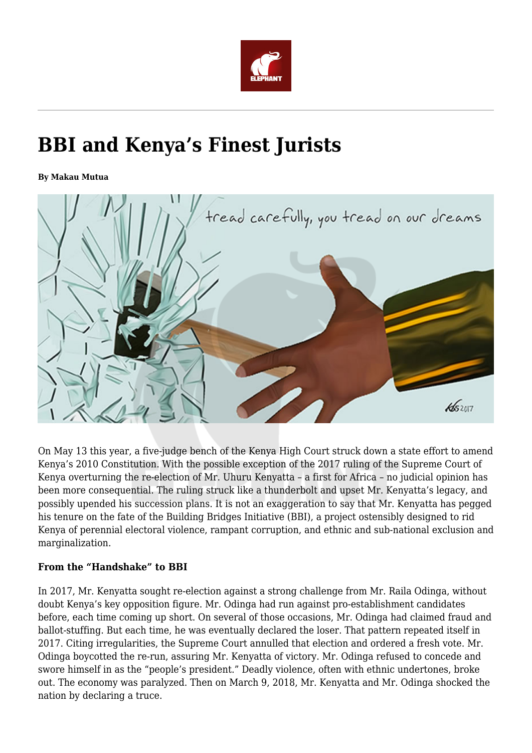

# **BBI and Kenya's Finest Jurists**

**By Makau Mutua**



On May 13 this year, a five-judge bench of the Kenya High Court struck down a state effort to amend Kenya's 2010 Constitution. With the possible exception of the 2017 ruling of the Supreme Court of Kenya overturning the re-election of Mr. Uhuru Kenyatta – a first for Africa – no judicial opinion has been more consequential. The ruling struck like a thunderbolt and upset Mr. Kenyatta's legacy, and possibly upended his succession plans. It is not an exaggeration to say that Mr. Kenyatta has pegged his tenure on the fate of the Building Bridges Initiative (BBI), a project ostensibly designed to rid Kenya of perennial electoral violence, rampant corruption, and ethnic and sub-national exclusion and marginalization.

## **From the "Handshake" to BBI**

In 2017, Mr. Kenyatta sought re-election against a strong challenge from Mr. Raila Odinga, without doubt Kenya's key opposition figure. Mr. Odinga had run against pro-establishment candidates before, each time coming up short. On several of those occasions, Mr. Odinga had claimed fraud and ballot-stuffing. But each time, he was eventually declared the loser. That pattern repeated itself in 2017. Citing irregularities, the Supreme Court annulled that election and ordered a fresh vote. Mr. Odinga boycotted the re-run, assuring Mr. Kenyatta of victory. Mr. Odinga refused to concede and swore himself in as the "people's president." Deadly violence, often with ethnic undertones, broke out. The economy was paralyzed. Then on March 9, 2018, Mr. Kenyatta and Mr. Odinga shocked the nation by declaring a truce.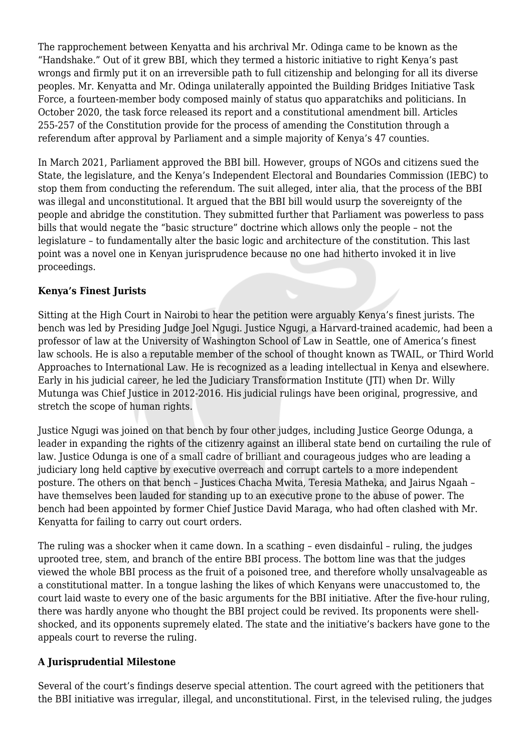The rapprochement between Kenyatta and his archrival Mr. Odinga came to be known as the "Handshake." Out of it grew BBI, which they termed a historic initiative to right Kenya's past wrongs and firmly put it on an irreversible path to full citizenship and belonging for all its diverse peoples. Mr. Kenyatta and Mr. Odinga unilaterally appointed the Building Bridges Initiative Task Force, a fourteen-member body composed mainly of status quo apparatchiks and politicians. In October 2020, the task force released its report and a constitutional amendment bill. Articles 255-257 of the Constitution provide for the process of amending the Constitution through a referendum after approval by Parliament and a simple majority of Kenya's 47 counties.

In March 2021, Parliament approved the BBI bill. However, groups of NGOs and citizens sued the State, the legislature, and the Kenya's Independent Electoral and Boundaries Commission (IEBC) to stop them from conducting the referendum. The suit alleged, inter alia, that the process of the BBI was illegal and unconstitutional. It argued that the BBI bill would usurp the sovereignty of the people and abridge the constitution. They submitted further that Parliament was powerless to pass bills that would negate the "basic structure" doctrine which allows only the people – not the legislature – to fundamentally alter the basic logic and architecture of the constitution. This last point was a novel one in Kenyan jurisprudence because no one had hitherto invoked it in live proceedings.

## **Kenya's Finest Jurists**

Sitting at the High Court in Nairobi to hear the petition were arguably Kenya's finest jurists. The bench was led by Presiding Judge Joel Ngugi. Justice Ngugi, a Harvard-trained academic, had been a professor of law at the University of Washington School of Law in Seattle, one of America's finest law schools. He is also a reputable member of the school of thought known as TWAIL, or Third World Approaches to International Law. He is recognized as a leading intellectual in Kenya and elsewhere. Early in his judicial career, he led the Judiciary Transformation Institute (JTI) when Dr. Willy Mutunga was Chief Justice in 2012-2016. His judicial rulings have been original, progressive, and stretch the scope of human rights.

Justice Ngugi was joined on that bench by four other judges, including Justice George Odunga, a leader in expanding the rights of the citizenry against an illiberal state bend on curtailing the rule of law. Justice Odunga is one of a small cadre of brilliant and courageous judges who are leading a judiciary long held captive by executive overreach and corrupt cartels to a more independent posture. The others on that bench – Justices Chacha Mwita, Teresia Matheka, and Jairus Ngaah – have themselves been lauded for standing up to an executive prone to the abuse of power. The bench had been appointed by former Chief Justice David Maraga, who had often clashed with Mr. Kenyatta for failing to carry out court orders.

The ruling was a shocker when it came down. In a scathing – even disdainful – ruling, the judges uprooted tree, stem, and branch of the entire BBI process. The bottom line was that the judges viewed the whole BBI process as the fruit of a poisoned tree, and therefore wholly unsalvageable as a constitutional matter. In a tongue lashing the likes of which Kenyans were unaccustomed to, the court laid waste to every one of the basic arguments for the BBI initiative. After the five-hour ruling, there was hardly anyone who thought the BBI project could be revived. Its proponents were shellshocked, and its opponents supremely elated. The state and the initiative's backers have gone to the appeals court to reverse the ruling.

## **A Jurisprudential Milestone**

Several of the court's findings deserve special attention. The court agreed with the petitioners that the BBI initiative was irregular, illegal, and unconstitutional. First, in the televised ruling, the judges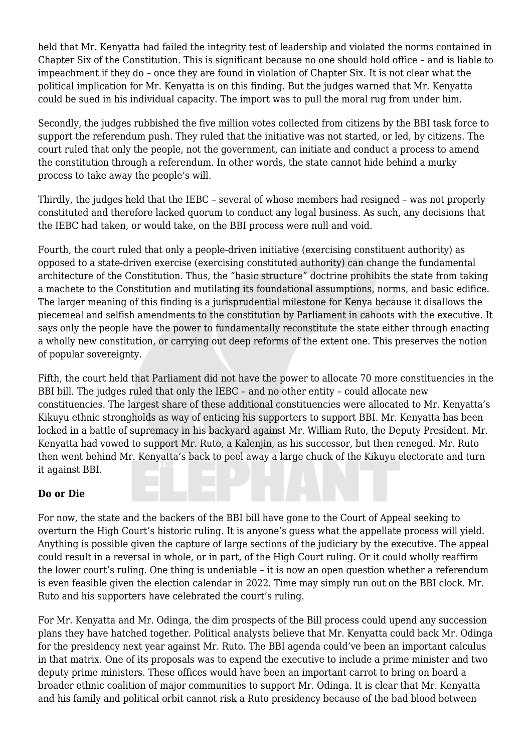held that Mr. Kenyatta had failed the integrity test of leadership and violated the norms contained in Chapter Six of the Constitution. This is significant because no one should hold office – and is liable to impeachment if they do – once they are found in violation of Chapter Six. It is not clear what the political implication for Mr. Kenyatta is on this finding. But the judges warned that Mr. Kenyatta could be sued in his individual capacity. The import was to pull the moral rug from under him.

Secondly, the judges rubbished the five million votes collected from citizens by the BBI task force to support the referendum push. They ruled that the initiative was not started, or led, by citizens. The court ruled that only the people, not the government, can initiate and conduct a process to amend the constitution through a referendum. In other words, the state cannot hide behind a murky process to take away the people's will.

Thirdly, the judges held that the IEBC – several of whose members had resigned – was not properly constituted and therefore lacked quorum to conduct any legal business. As such, any decisions that the IEBC had taken, or would take, on the BBI process were null and void.

Fourth, the court ruled that only a people-driven initiative (exercising constituent authority) as opposed to a state-driven exercise (exercising constituted authority) can change the fundamental architecture of the Constitution. Thus, the "basic structure" doctrine prohibits the state from taking a machete to the Constitution and mutilating its foundational assumptions, norms, and basic edifice. The larger meaning of this finding is a jurisprudential milestone for Kenya because it disallows the piecemeal and selfish amendments to the constitution by Parliament in cahoots with the executive. It says only the people have the power to fundamentally reconstitute the state either through enacting a wholly new constitution, or carrying out deep reforms of the extent one. This preserves the notion of popular sovereignty.

Fifth, the court held that Parliament did not have the power to allocate 70 more constituencies in the BBI bill. The judges ruled that only the IEBC – and no other entity – could allocate new constituencies. The largest share of these additional constituencies were allocated to Mr. Kenyatta's Kikuyu ethnic strongholds as way of enticing his supporters to support BBI. Mr. Kenyatta has been locked in a battle of supremacy in his backyard against Mr. William Ruto, the Deputy President. Mr. Kenyatta had vowed to support Mr. Ruto, a Kalenjin, as his successor, but then reneged. Mr. Ruto then went behind Mr. Kenyatta's back to peel away a large chuck of the Kikuyu electorate and turn it against BBI.

## **Do or Die**

For now, the state and the backers of the BBI bill have gone to the Court of Appeal seeking to overturn the High Court's historic ruling. It is anyone's guess what the appellate process will yield. Anything is possible given the capture of large sections of the judiciary by the executive. The appeal could result in a reversal in whole, or in part, of the High Court ruling. Or it could wholly reaffirm the lower court's ruling. One thing is undeniable – it is now an open question whether a referendum is even feasible given the election calendar in 2022. Time may simply run out on the BBI clock. Mr. Ruto and his supporters have celebrated the court's ruling.

For Mr. Kenyatta and Mr. Odinga, the dim prospects of the Bill process could upend any succession plans they have hatched together. Political analysts believe that Mr. Kenyatta could back Mr. Odinga for the presidency next year against Mr. Ruto. The BBI agenda could've been an important calculus in that matrix. One of its proposals was to expend the executive to include a prime minister and two deputy prime ministers. These offices would have been an important carrot to bring on board a broader ethnic coalition of major communities to support Mr. Odinga. It is clear that Mr. Kenyatta and his family and political orbit cannot risk a Ruto presidency because of the bad blood between